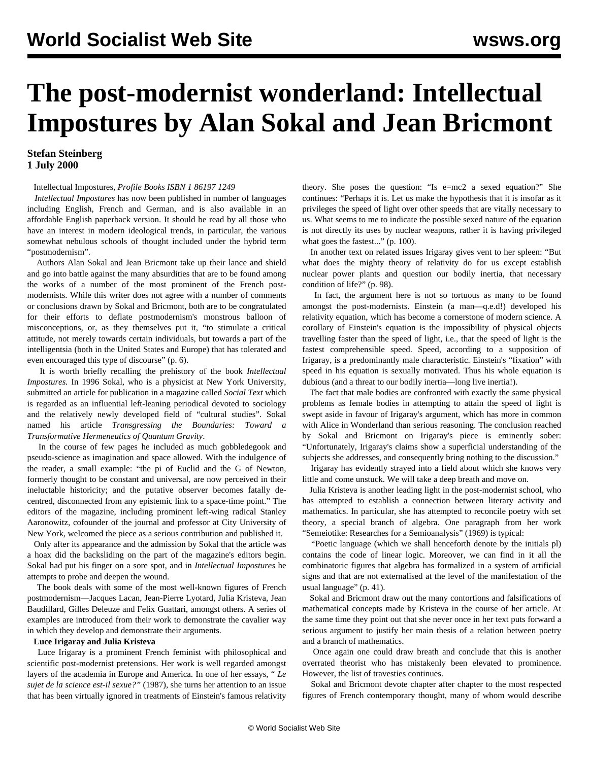# **The post-modernist wonderland: Intellectual Impostures by Alan Sokal and Jean Bricmont**

# **Stefan Steinberg 1 July 2000**

# Intellectual Impostures, *Profile Books ISBN 1 86197 1249*

 *Intellectual Impostures* has now been published in number of languages including English, French and German, and is also available in an affordable English paperback version. It should be read by all those who have an interest in modern ideological trends, in particular, the various somewhat nebulous schools of thought included under the hybrid term "postmodernism".

 Authors Alan Sokal and Jean Bricmont take up their lance and shield and go into battle against the many absurdities that are to be found among the works of a number of the most prominent of the French postmodernists. While this writer does not agree with a number of comments or conclusions drawn by Sokal and Bricmont, both are to be congratulated for their efforts to deflate postmodernism's monstrous balloon of misconceptions, or, as they themselves put it, "to stimulate a critical attitude, not merely towards certain individuals, but towards a part of the intelligentsia (both in the United States and Europe) that has tolerated and even encouraged this type of discourse" (p. 6).

 It is worth briefly recalling the prehistory of the book *Intellectual Impostures.* In 1996 Sokal, who is a physicist at New York University, submitted an article for publication in a magazine called *Social Text* which is regarded as an influential left-leaning periodical devoted to sociology and the relatively newly developed field of "cultural studies". Sokal named his article *Transgressing the Boundaries: Toward a Transformative Hermeneutics of Quantum Gravity*.

 In the course of few pages he included as much gobbledegook and pseudo-science as imagination and space allowed. With the indulgence of the reader, a small example: "the pi of Euclid and the G of Newton, formerly thought to be constant and universal, are now perceived in their ineluctable historicity; and the putative observer becomes fatally decentred, disconnected from any epistemic link to a space-time point." The editors of the magazine, including prominent left-wing radical Stanley Aaronowitz, cofounder of the journal and professor at City University of New York, welcomed the piece as a serious contribution and published it.

 Only after its appearance and the admission by Sokal that the article was a hoax did the backsliding on the part of the magazine's editors begin. Sokal had put his finger on a sore spot, and in *Intellectual Impostures* he attempts to probe and deepen the wound.

 The book deals with some of the most well-known figures of French postmodernism—Jacques Lacan, Jean-Pierre Lyotard, Julia Kristeva, Jean Baudillard, Gilles Deleuze and Felix Guattari, amongst others. A series of examples are introduced from their work to demonstrate the cavalier way in which they develop and demonstrate their arguments.

# **Luce Irigaray and Julia Kristeva**

 Luce Irigaray is a prominent French feminist with philosophical and scientific post-modernist pretensions. Her work is well regarded amongst layers of the academia in Europe and America. In one of her essays, " *Le sujet de la science est-il sexue?"* (1987), she turns her attention to an issue that has been virtually ignored in treatments of Einstein's famous relativity theory. She poses the question: "Is e=mc2 a sexed equation?" She continues: "Perhaps it is. Let us make the hypothesis that it is insofar as it privileges the speed of light over other speeds that are vitally necessary to us. What seems to me to indicate the possible sexed nature of the equation is not directly its uses by nuclear weapons, rather it is having privileged what goes the fastest..." (p. 100).

 In another text on related issues Irigaray gives vent to her spleen: "But what does the mighty theory of relativity do for us except establish nuclear power plants and question our bodily inertia, that necessary condition of life?" (p. 98).

 In fact, the argument here is not so tortuous as many to be found amongst the post-modernists. Einstein (a man—q.e.d!) developed his relativity equation, which has become a cornerstone of modern science. A corollary of Einstein's equation is the impossibility of physical objects travelling faster than the speed of light, i.e., that the speed of light is the fastest comprehensible speed. Speed, according to a supposition of Irigaray, is a predominantly male characteristic. Einstein's "fixation" with speed in his equation is sexually motivated. Thus his whole equation is dubious (and a threat to our bodily inertia—long live inertia!).

 The fact that male bodies are confronted with exactly the same physical problems as female bodies in attempting to attain the speed of light is swept aside in favour of Irigaray's argument, which has more in common with Alice in Wonderland than serious reasoning. The conclusion reached by Sokal and Bricmont on Irigaray's piece is eminently sober: "Unfortunately, Irigaray's claims show a superficial understanding of the subjects she addresses, and consequently bring nothing to the discussion."

 Irigaray has evidently strayed into a field about which she knows very little and come unstuck. We will take a deep breath and move on.

 Julia Kristeva is another leading light in the post-modernist school, who has attempted to establish a connection between literary activity and mathematics. In particular, she has attempted to reconcile poetry with set theory, a special branch of algebra. One paragraph from her work "Semeiotike: Researches for a Semioanalysis" (1969) is typical:

 "Poetic language (which we shall henceforth denote by the initials pl) contains the code of linear logic. Moreover, we can find in it all the combinatoric figures that algebra has formalized in a system of artificial signs and that are not externalised at the level of the manifestation of the usual language" (p. 41).

 Sokal and Bricmont draw out the many contortions and falsifications of mathematical concepts made by Kristeva in the course of her article. At the same time they point out that she never once in her text puts forward a serious argument to justify her main thesis of a relation between poetry and a branch of mathematics.

 Once again one could draw breath and conclude that this is another overrated theorist who has mistakenly been elevated to prominence. However, the list of travesties continues.

 Sokal and Bricmont devote chapter after chapter to the most respected figures of French contemporary thought, many of whom would describe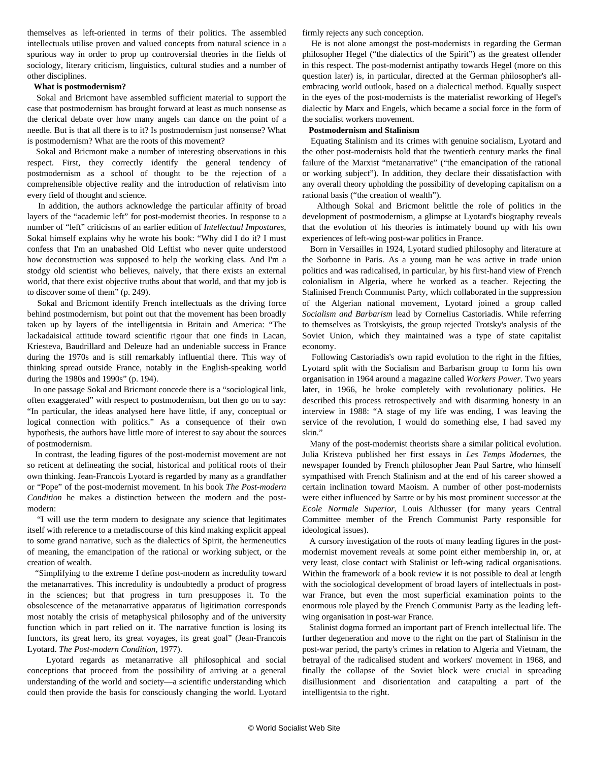themselves as left-oriented in terms of their politics. The assembled intellectuals utilise proven and valued concepts from natural science in a spurious way in order to prop up controversial theories in the fields of sociology, literary criticism, linguistics, cultural studies and a number of other disciplines.

#### **What is postmodernism?**

 Sokal and Bricmont have assembled sufficient material to support the case that postmodernism has brought forward at least as much nonsense as the clerical debate over how many angels can dance on the point of a needle. But is that all there is to it? Is postmodernism just nonsense? What is postmodernism? What are the roots of this movement?

 Sokal and Bricmont make a number of interesting observations in this respect. First, they correctly identify the general tendency of postmodernism as a school of thought to be the rejection of a comprehensible objective reality and the introduction of relativism into every field of thought and science.

 In addition, the authors acknowledge the particular affinity of broad layers of the "academic left" for post-modernist theories. In response to a number of "left" criticisms of an earlier edition of *Intellectual Impostures*, Sokal himself explains why he wrote his book: "Why did I do it? I must confess that I'm an unabashed Old Leftist who never quite understood how deconstruction was supposed to help the working class. And I'm a stodgy old scientist who believes, naively, that there exists an external world, that there exist objective truths about that world, and that my job is to discover some of them" (p. 249).

 Sokal and Bricmont identify French intellectuals as the driving force behind postmodernism, but point out that the movement has been broadly taken up by layers of the intelligentsia in Britain and America: "The lackadaisical attitude toward scientific rigour that one finds in Lacan, Kriesteva, Baudrillard and Deleuze had an undeniable success in France during the 1970s and is still remarkably influential there. This way of thinking spread outside France, notably in the English-speaking world during the 1980s and 1990s" (p. 194).

 In one passage Sokal and Bricmont concede there is a "sociological link, often exaggerated" with respect to postmodernism, but then go on to say: "In particular, the ideas analysed here have little, if any, conceptual or logical connection with politics." As a consequence of their own hypothesis, the authors have little more of interest to say about the sources of postmodernism.

 In contrast, the leading figures of the post-modernist movement are not so reticent at delineating the social, historical and political roots of their own thinking. Jean-Francois Lyotard is regarded by many as a grandfather or "Pope" of the post-modernist movement. In his book *The Post-modern Condition* he makes a distinction between the modern and the postmodern:

 "I will use the term modern to designate any science that legitimates itself with reference to a metadiscourse of this kind making explicit appeal to some grand narrative, such as the dialectics of Spirit, the hermeneutics of meaning, the emancipation of the rational or working subject, or the creation of wealth.

 "Simplifying to the extreme I define post-modern as incredulity toward the metanarratives. This incredulity is undoubtedly a product of progress in the sciences; but that progress in turn presupposes it. To the obsolescence of the metanarrative apparatus of ligitimation corresponds most notably the crisis of metaphysical philosophy and of the university function which in part relied on it. The narrative function is losing its functors, its great hero, its great voyages, its great goal" (Jean-Francois Lyotard. *The Post-modern Condition*, 1977).

 Lyotard regards as metanarrative all philosophical and social conceptions that proceed from the possibility of arriving at a general understanding of the world and society—a scientific understanding which could then provide the basis for consciously changing the world. Lyotard firmly rejects any such conception.

 He is not alone amongst the post-modernists in regarding the German philosopher Hegel ("the dialectics of the Spirit") as the greatest offender in this respect. The post-modernist antipathy towards Hegel (more on this question later) is, in particular, directed at the German philosopher's allembracing world outlook, based on a dialectical method. Equally suspect in the eyes of the post-modernists is the materialist reworking of Hegel's dialectic by Marx and Engels, which became a social force in the form of the socialist workers movement.

### **Postmodernism and Stalinism**

 Equating Stalinism and its crimes with genuine socialism, Lyotard and the other post-modernists hold that the twentieth century marks the final failure of the Marxist "metanarrative" ("the emancipation of the rational or working subject"). In addition, they declare their dissatisfaction with any overall theory upholding the possibility of developing capitalism on a rational basis ("the creation of wealth").

 Although Sokal and Bricmont belittle the role of politics in the development of postmodernism, a glimpse at Lyotard's biography reveals that the evolution of his theories is intimately bound up with his own experiences of left-wing post-war politics in France.

 Born in Versailles in 1924, Lyotard studied philosophy and literature at the Sorbonne in Paris. As a young man he was active in trade union politics and was radicalised, in particular, by his first-hand view of French colonialism in Algeria, where he worked as a teacher. Rejecting the Stalinised French Communist Party, which collaborated in the suppression of the Algerian national movement, Lyotard joined a group called *Socialism and Barbarism* lead by Cornelius Castoriadis. While referring to themselves as Trotskyists, the group rejected Trotsky's analysis of the Soviet Union, which they maintained was a type of state capitalist economy.

 Following Castoriadis's own rapid evolution to the right in the fifties, Lyotard split with the Socialism and Barbarism group to form his own organisation in 1964 around a magazine called *Workers Power.* Two years later, in 1966, he broke completely with revolutionary politics. He described this process retrospectively and with disarming honesty in an interview in 1988: "A stage of my life was ending, I was leaving the service of the revolution, I would do something else, I had saved my skin."

 Many of the post-modernist theorists share a similar political evolution. Julia Kristeva published her first essays in *Les Temps Modernes*, the newspaper founded by French philosopher Jean Paul Sartre, who himself sympathised with French Stalinism and at the end of his career showed a certain inclination toward Maoism. A number of other post-modernists were either influenced by Sartre or by his most prominent successor at the *Ecole Normale Superior,* Louis Althusser (for many years Central Committee member of the French Communist Party responsible for ideological issues).

 A cursory investigation of the roots of many leading figures in the postmodernist movement reveals at some point either membership in, or, at very least, close contact with Stalinist or left-wing radical organisations. Within the framework of a book review it is not possible to deal at length with the sociological development of broad layers of intellectuals in postwar France, but even the most superficial examination points to the enormous role played by the French Communist Party as the leading leftwing organisation in post-war France.

 Stalinist dogma formed an important part of French intellectual life. The further degeneration and move to the right on the part of Stalinism in the post-war period, the party's crimes in relation to Algeria and Vietnam, the betrayal of the radicalised student and workers' movement in 1968, and finally the collapse of the Soviet block were crucial in spreading disillusionment and disorientation and catapulting a part of the intelligentsia to the right.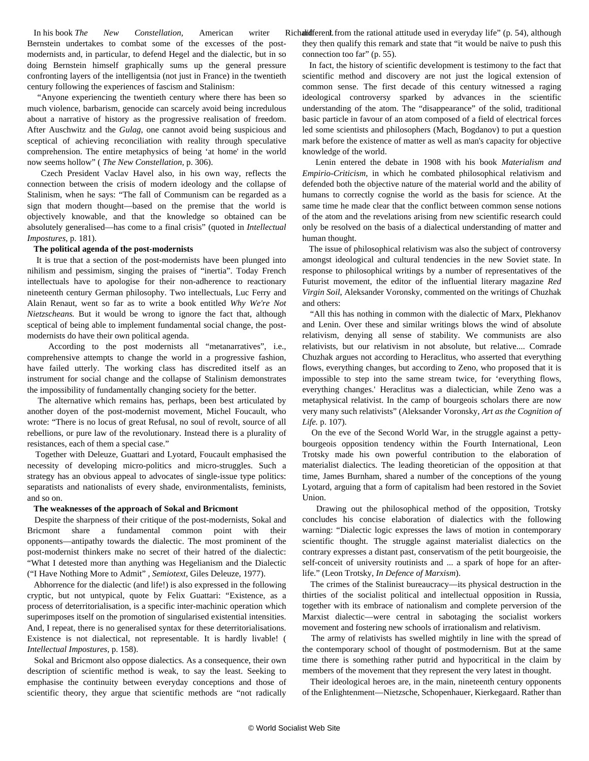In his book *The New Constellation*, American writer Bernstein undertakes to combat some of the excesses of the postmodernists and, in particular, to defend Hegel and the dialectic, but in so doing Bernstein himself graphically sums up the general pressure confronting layers of the intelligentsia (not just in France) in the twentieth century following the experiences of fascism and Stalinism:

 "Anyone experiencing the twentieth century where there has been so much violence, barbarism, genocide can scarcely avoid being incredulous about a narrative of history as the progressive realisation of freedom. After Auschwitz and the *Gulag*, one cannot avoid being suspicious and sceptical of achieving reconciliation with reality through speculative comprehension. The entire metaphysics of being 'at home' in the world now seems hollow" ( *The New Constellation,* p. 306).

 Czech President Vaclav Havel also, in his own way, reflects the connection between the crisis of modern ideology and the collapse of Stalinism, when he says: "The fall of Communism can be regarded as a sign that modern thought—based on the premise that the world is objectively knowable, and that the knowledge so obtained can be absolutely generalised—has come to a final crisis" (quoted in *Intellectual Impostures*, p. 181).

#### **The political agenda of the post-modernists**

 It is true that a section of the post-modernists have been plunged into nihilism and pessimism, singing the praises of "inertia". Today French intellectuals have to apologise for their non-adherence to reactionary nineteenth century German philosophy. Two intellectuals, Luc Ferry and Alain Renaut, went so far as to write a book entitled *Why We're Not Nietzscheans.* But it would be wrong to ignore the fact that, although sceptical of being able to implement fundamental social change, the postmodernists do have their own political agenda.

 According to the post modernists all "metanarratives", i.e., comprehensive attempts to change the world in a progressive fashion, have failed utterly. The working class has discredited itself as an instrument for social change and the collapse of Stalinism demonstrates the impossibility of fundamentally changing society for the better.

 The alternative which remains has, perhaps, been best articulated by another doyen of the post-modernist movement, Michel Foucault, who wrote: "There is no locus of great Refusal, no soul of revolt, source of all rebellions, or pure law of the revolutionary. Instead there is a plurality of resistances, each of them a special case."

 Together with Deleuze, Guattari and Lyotard, Foucault emphasised the necessity of developing micro-politics and micro-struggles. Such a strategy has an obvious appeal to advocates of single-issue type politics: separatists and nationalists of every shade, environmentalists, feminists, and so on.

#### **The weaknesses of the approach of Sokal and Bricmont**

 Despite the sharpness of their critique of the post-modernists, Sokal and Bricmont share a fundamental common point with their opponents—antipathy towards the dialectic. The most prominent of the post-modernist thinkers make no secret of their hatred of the dialectic: "What I detested more than anything was Hegelianism and the Dialectic ("I Have Nothing More to Admit" *, Semiotext*, Giles Deleuze, 1977).

 Abhorrence for the dialectic (and life!) is also expressed in the following cryptic, but not untypical, quote by Felix Guattari: "Existence, as a process of deterritorialisation, is a specific inter-machinic operation which superimposes itself on the promotion of singularised existential intensities. And, I repeat, there is no generalised syntax for these deterritorialisations. Existence is not dialectical, not representable. It is hardly livable! ( *Intellectual Impostures,* p. 158).

 Sokal and Bricmont also oppose dialectics. As a consequence, their own description of scientific method is weak, to say the least. Seeking to emphasise the continuity between everyday conceptions and those of scientific theory, they argue that scientific methods are "not radically

Richalidferent from the rational attitude used in everyday life" (p. 54), although they then qualify this remark and state that "it would be naïve to push this connection too far" (p. 55).

 In fact, the history of scientific development is testimony to the fact that scientific method and discovery are not just the logical extension of common sense. The first decade of this century witnessed a raging ideological controversy sparked by advances in the scientific understanding of the atom. The "disappearance" of the solid, traditional basic particle in favour of an atom composed of a field of electrical forces led some scientists and philosophers (Mach, Bogdanov) to put a question mark before the existence of matter as well as man's capacity for objective knowledge of the world.

 Lenin entered the debate in 1908 with his book *Materialism and Empirio-Criticism*, in which he combated philosophical relativism and defended both the objective nature of the material world and the ability of humans to correctly cognise the world as the basis for science. At the same time he made clear that the conflict between common sense notions of the atom and the revelations arising from new scientific research could only be resolved on the basis of a dialectical understanding of matter and human thought.

 The issue of philosophical relativism was also the subject of controversy amongst ideological and cultural tendencies in the new Soviet state. In response to philosophical writings by a number of representatives of the Futurist movement, the editor of the influential literary magazine *Red Virgin Soil*, Aleksander Voronsky, commented on the writings of Chuzhak and others:

 "All this has nothing in common with the dialectic of Marx, Plekhanov and Lenin. Over these and similar writings blows the wind of absolute relativism, denying all sense of stability. We communists are also relativists, but our relativism in not absolute, but relative.... Comrade Chuzhak argues not according to Heraclitus, who asserted that everything flows, everything changes, but according to Zeno, who proposed that it is impossible to step into the same stream twice, for 'everything flows, everything changes.' Heraclitus was a dialectician, while Zeno was a metaphysical relativist. In the camp of bourgeois scholars there are now very many such relativists" (Aleksander Voronsky, *Art as the Cognition of Life.* p. 107).

 On the eve of the Second World War, in the struggle against a pettybourgeois opposition tendency within the Fourth International, Leon Trotsky made his own powerful contribution to the elaboration of materialist dialectics. The leading theoretician of the opposition at that time, James Burnham, shared a number of the conceptions of the young Lyotard, arguing that a form of capitalism had been restored in the Soviet Union.

 Drawing out the philosophical method of the opposition, Trotsky concludes his concise elaboration of dialectics with the following warning: "Dialectic logic expresses the laws of motion in contemporary scientific thought. The struggle against materialist dialectics on the contrary expresses a distant past, conservatism of the petit bourgeoisie, the self-conceit of university routinists and ... a spark of hope for an afterlife." (Leon Trotsky, *In Defence of Marxism*).

 The crimes of the Stalinist bureaucracy—its physical destruction in the thirties of the socialist political and intellectual opposition in Russia, together with its embrace of nationalism and complete perversion of the Marxist dialectic—were central in sabotaging the socialist workers movement and fostering new schools of irrationalism and relativism.

 The army of relativists has swelled mightily in line with the spread of the contemporary school of thought of postmodernism. But at the same time there is something rather putrid and hypocritical in the claim by members of the movement that they represent the very latest in thought.

 Their ideological heroes are, in the main, nineteenth century opponents of the Enlightenment—Nietzsche, Schopenhauer, Kierkegaard. Rather than